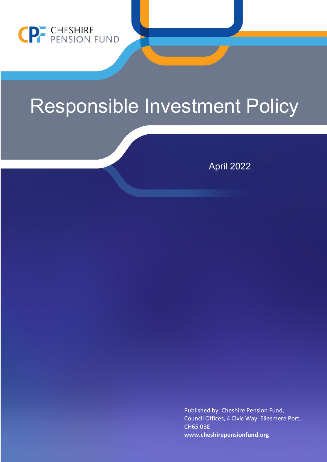

## Responsible Investment Policy

April 2022

Published by: Cheshire Pension Fund, Council Offices, 4 Civic Way, Ellesmere Port, CH65 0BE **[www.cheshirepensionfund.org](http://www.cheshirepensionfund.org/)**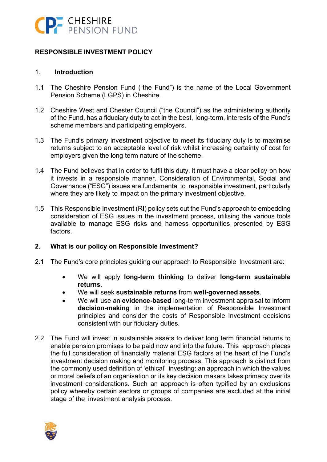

## **RESPONSIBLE INVESTMENT POLICY**

#### 1. **Introduction**

- 1.1 The Cheshire Pension Fund ("the Fund") is the name of the Local Government Pension Scheme (LGPS) in Cheshire.
- 1.2 Cheshire West and Chester Council ("the Council") as the administering authority of the Fund, has a fiduciary duty to act in the best, long-term, interests of the Fund's scheme members and participating employers.
- 1.3 The Fund's primary investment objective to meet its fiduciary duty is to maximise returns subject to an acceptable level of risk whilst increasing certainty of cost for employers given the long term nature of the scheme.
- 1.4 The Fund believes that in order to fulfil this duty, it must have a clear policy on how it invests in a responsible manner. Consideration of Environmental, Social and Governance ("ESG") issues are fundamental to responsible investment, particularly where they are likely to impact on the primary investment objective.
- 1.5 This Responsible Investment (RI) policy sets out the Fund's approach to embedding consideration of ESG issues in the investment process, utilising the various tools available to manage ESG risks and harness opportunities presented by ESG factors.

## **2. What is our policy on Responsible Investment?**

- 2.1 The Fund's core principles guiding our approach to Responsible Investment are:
	- We will apply **long-term thinking** to deliver **long-term sustainable returns**.
	- We will seek **sustainable returns** from **well-governed assets**.
	- We will use an **evidence-based** long-term investment appraisal to inform **decision-making** in the implementation of Responsible Investment principles and consider the costs of Responsible Investment decisions consistent with our fiduciary duties.
- 2.2 The Fund will invest in sustainable assets to deliver long term financial returns to enable pension promises to be paid now and into the future. This approach places the full consideration of financially material ESG factors at the heart of the Fund's investment decision making and monitoring process. This approach is distinct from the commonly used definition of 'ethical' investing: an approach in which the values or moral beliefs of an organisation or its key decision makers takes primacy over its investment considerations. Such an approach is often typified by an exclusions policy whereby certain sectors or groups of companies are excluded at the initial stage of the investment analysis process.

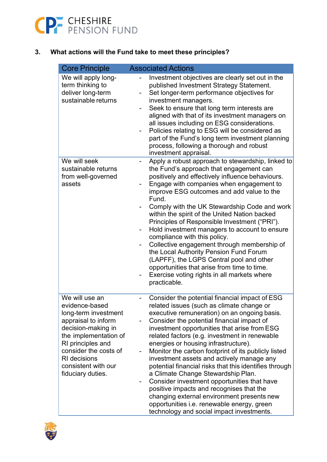

## **3. What actions will the Fund take to meet these principles?**

| <b>Core Principle</b>                                                                                                                                                                                                                           | <b>Associated Actions</b>                                                                                                                                                                                                                                                                                                                                                                                                                                                                                                                                                                                                                                                                                                                                                  |
|-------------------------------------------------------------------------------------------------------------------------------------------------------------------------------------------------------------------------------------------------|----------------------------------------------------------------------------------------------------------------------------------------------------------------------------------------------------------------------------------------------------------------------------------------------------------------------------------------------------------------------------------------------------------------------------------------------------------------------------------------------------------------------------------------------------------------------------------------------------------------------------------------------------------------------------------------------------------------------------------------------------------------------------|
| We will apply long-<br>term thinking to<br>deliver long-term<br>sustainable returns                                                                                                                                                             | Investment objectives are clearly set out in the<br>published Investment Strategy Statement.<br>Set longer-term performance objectives for<br>investment managers.<br>Seek to ensure that long term interests are<br>aligned with that of its investment managers on<br>all issues including on ESG considerations.<br>Policies relating to ESG will be considered as<br>part of the Fund's long term investment planning<br>process, following a thorough and robust<br>investment appraisal.                                                                                                                                                                                                                                                                             |
| We will seek<br>sustainable returns<br>from well-governed<br>assets                                                                                                                                                                             | Apply a robust approach to stewardship, linked to<br>$\qquad \qquad \blacksquare$<br>the Fund's approach that engagement can<br>positively and effectively influence behaviours.<br>Engage with companies when engagement to<br>improve ESG outcomes and add value to the<br>Fund.<br>Comply with the UK Stewardship Code and work<br>within the spirit of the United Nation backed<br>Principles of Responsible Investment ("PRI").<br>Hold investment managers to account to ensure<br>compliance with this policy.<br>Collective engagement through membership of<br>the Local Authority Pension Fund Forum<br>(LAPFF), the LGPS Central pool and other<br>opportunities that arise from time to time.<br>Exercise voting rights in all markets where<br>practicable.   |
| We will use an<br>evidence-based<br>long-term investment<br>appraisal to inform<br>decision-making in<br>the implementation of<br>RI principles and<br>consider the costs of<br><b>RI</b> decisions<br>consistent with our<br>fiduciary duties. | Consider the potential financial impact of ESG<br>related issues (such as climate change or<br>executive remuneration) on an ongoing basis.<br>Consider the potential financial impact of<br>investment opportunities that arise from ESG<br>related factors (e.g. investment in renewable<br>energies or housing infrastructure).<br>Monitor the carbon footprint of its publicly listed<br>investment assets and actively manage any<br>potential financial risks that this identifies through<br>a Climate Change Stewardship Plan.<br>Consider investment opportunities that have<br>positive impacts and recognises that the<br>changing external environment presents new<br>opportunities i.e. renewable energy, green<br>technology and social impact investments. |

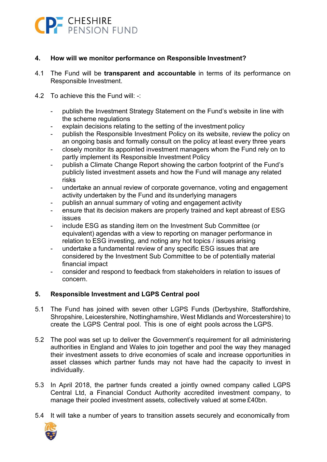

## **4. How will we monitor performance on Responsible Investment?**

- 4.1 The Fund will be **transparent and accountable** in terms of its performance on Responsible Investment.
- 4.2 To achieve this the Fund will: -:
	- publish the Investment Strategy Statement on the Fund's website in line with the scheme regulations
	- explain decisions relating to the setting of the investment policy
	- publish the Responsible Investment Policy on its website, review the policy on an ongoing basis and formally consult on the policy at least every three years
	- closely monitor its appointed investment managers whom the Fund rely on to partly implement its Responsible Investment Policy
	- publish a Climate Change Report showing the carbon footprint of the Fund's publicly listed investment assets and how the Fund will manage any related risks
	- undertake an annual review of corporate governance, voting and engagement activity undertaken by the Fund and its underlying managers
	- publish an annual summary of voting and engagement activity
	- ensure that its decision makers are properly trained and kept abreast of ESG issues
	- include ESG as standing item on the Investment Sub Committee (or equivalent) agendas with a view to reporting on manager performance in relation to ESG investing, and noting any hot topics / issues arising
	- undertake a fundamental review of any specific ESG issues that are considered by the Investment Sub Committee to be of potentially material financial impact
	- consider and respond to feedback from stakeholders in relation to issues of concern.

## **5. Responsible Investment and LGPS Central pool**

- 5.1 The Fund has joined with seven other LGPS Funds (Derbyshire, Staffordshire, Shropshire, Leicestershire, Nottinghamshire, West Midlands and Worcestershire) to create the LGPS Central pool. This is one of eight pools across the LGPS.
- 5.2 The pool was set up to deliver the Government's requirement for all administering authorities in England and Wales to join together and pool the way they managed their investment assets to drive economies of scale and increase opportunities in asset classes which partner funds may not have had the capacity to invest in individually.
- 5.3 In April 2018, the partner funds created a jointly owned company called LGPS Central Ltd, a Financial Conduct Authority accredited investment company, to manage their pooled investment assets, collectively valued at some £40bn.
- 5.4 It will take a number of years to transition assets securely and economically from

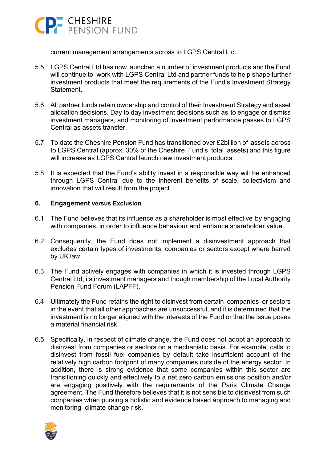

current management arrangements across to LGPS Central Ltd.

- 5.5 LGPS Central Ltd has now launched a number of investment products and the Fund will continue to work with LGPS Central Ltd and partner funds to help shape further investment products that meet the requirements of the Fund's Investment Strategy **Statement**
- 5.6 All partner funds retain ownership and control of their Investment Strategy and asset allocation decisions. Day to day investment decisions such as to engage or dismiss investment managers, and monitoring of investment performance passes to LGPS Central as assets transfer.
- 5.7 To date the Cheshire Pension Fund has transitioned over £2billion of assets across to LGPS Central (approx. 30% of the Cheshire Fund's total assets) and this figure will increase as LGPS Central launch new investment products.
- 5.8 It is expected that the Fund's ability invest in a responsible way will be enhanced through LGPS Central due to the inherent benefits of scale, collectivism and innovation that will result from the project.

## **6. Engagement versus Exclusion**

- 6.1 The Fund believes that its influence as a shareholder is most effective by engaging with companies, in order to influence behaviour and enhance shareholder value.
- 6.2 Consequently, the Fund does not implement a disinvestment approach that excludes certain types of investments, companies or sectors except where barred by UK law.
- 6.3 The Fund actively engages with companies in which it is invested through LGPS Central Ltd, its investment managers and though membership of the Local Authority Pension Fund Forum (LAPFF).
- 6.4 Ultimately the Fund retains the right to disinvest from certain companies or sectors in the event that all other approaches are unsuccessful, and it is determined that the investment is no longer aligned with the interests of the Fund or that the issue poses a material financial risk.
- 6.5 Specifically, in respect of climate change, the Fund does not adopt an approach to disinvest from companies or sectors on a mechanistic basis. For example, calls to disinvest from fossil fuel companies by default take insufficient account of the relatively high carbon footprint of many companies outside of the energy sector. In addition, there is strong evidence that some companies within this sector are transitioning quickly and effectively to a net zero carbon emissions position and/or are engaging positively with the requirements of the Paris Climate Change agreement. The Fund therefore believes that it is not sensible to disinvest from such companies when pursing a holistic and evidence based approach to managing and monitoring climate change risk.

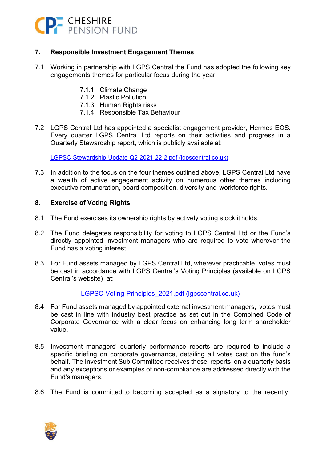

## **7. Responsible Investment Engagement Themes**

- 7.1 Working in partnership with LGPS Central the Fund has adopted the following key engagements themes for particular focus during the year:
	- 7.1.1 Climate Change
	- 7.1.2 Plastic Pollution
	- 7.1.3 Human Rights risks
	- 7.1.4 Responsible Tax Behaviour
- 7.2 LGPS Central Ltd has appointed a specialist engagement provider, Hermes EOS. Every quarter LGPS Central Ltd reports on their activities and progress in a Quarterly Stewardship report, which is publicly available at:

[LGPSC-Stewardship-Update-Q2-2021-22-2.pdf \(lgpscentral.co.uk\)](https://www.lgpscentral.co.uk/wp-content/uploads/2021/11/LGPSC-Stewardship-Update-Q2-2021-22-2.pdf)

7.3 In addition to the focus on the four themes outlined above, LGPS Central Ltd have a wealth of active engagement activity on numerous other themes including executive remuneration, board composition, diversity and workforce rights.

## **8. Exercise of Voting Rights**

- 8.1 The Fund exercises its ownership rights by actively voting stock it holds.
- 8.2 The Fund delegates responsibility for voting to LGPS Central Ltd or the Fund's directly appointed investment managers who are required to vote wherever the Fund has a voting interest.
- 8.3 For Fund assets managed by LGPS Central Ltd, wherever practicable, votes must be cast in accordance with LGPS Central's Voting Principles (available on LGPS Central's website) at:

[LGPSC-Voting-Principles\\_2021.pdf \(lgpscentral.co.uk\)](https://www.lgpscentral.co.uk/wp-content/uploads/2021/06/LGPSC-Voting-Principles_2021.pdf)

- 8.4 For Fund assets managed by appointed external investment managers, votes must be cast in line with industry best practice as set out in the Combined Code of Corporate Governance with a clear focus on enhancing long term shareholder value.
- 8.5 Investment managers' quarterly performance reports are required to include a specific briefing on corporate governance, detailing all votes cast on the fund's behalf. The Investment Sub Committee receives these reports on a quarterly basis and any exceptions or examples of non-compliance are addressed directly with the Fund's managers.
- 8.6 The Fund is committed to becoming accepted as a signatory to the recently

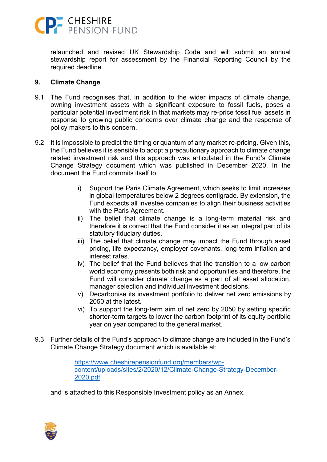

relaunched and revised UK Stewardship Code and will submit an annual stewardship report for assessment by the Financial Reporting Council by the required deadline.

#### **9. Climate Change**

- 9.1 The Fund recognises that, in addition to the wider impacts of climate change, owning investment assets with a significant exposure to fossil fuels, poses a particular potential investment risk in that markets may re-price fossil fuel assets in response to growing public concerns over climate change and the response of policy makers to this concern.
- 9.2 It is impossible to predict the timing or quantum of any market re-pricing. Given this, the Fund believes it is sensible to adopt a precautionary approach to climate change related investment risk and this approach was articulated in the Fund's Climate Change Strategy document which was published in December 2020. In the document the Fund commits itself to:
	- i) Support the Paris Climate Agreement, which seeks to limit increases in global temperatures below 2 degrees centigrade. By extension, the Fund expects all investee companies to align their business activities with the Paris Agreement.
	- ii) The belief that climate change is a long-term material risk and therefore it is correct that the Fund consider it as an integral part of its statutory fiduciary duties.
	- iii) The belief that climate change may impact the Fund through asset pricing, life expectancy, employer covenants, long term inflation and interest rates.
	- iv) The belief that the Fund believes that the transition to a low carbon world economy presents both risk and opportunities and therefore, the Fund will consider climate change as a part of all asset allocation, manager selection and individual investment decisions.
	- v) Decarbonise its investment portfolio to deliver net zero emissions by 2050 at the latest.
	- vi) To support the long-term aim of net zero by 2050 by setting specific shorter-term targets to lower the carbon footprint of its equity portfolio year on year compared to the general market.
- 9.3 Further details of the Fund's approach to climate change are included in the Fund's Climate Change Strategy document which is available at:

[https://www.cheshirepensionfund.org/members/wp](https://www.cheshirepensionfund.org/members/wp-content/uploads/sites/2/2020/12/Climate-Change-Strategy-December-2020.pdf)[content/uploads/sites/2/2020/12/Climate-Change-Strategy-December-](https://www.cheshirepensionfund.org/members/wp-content/uploads/sites/2/2020/12/Climate-Change-Strategy-December-2020.pdf)[2020.pdf](https://www.cheshirepensionfund.org/members/wp-content/uploads/sites/2/2020/12/Climate-Change-Strategy-December-2020.pdf)

and is attached to this Responsible Investment policy as an Annex.

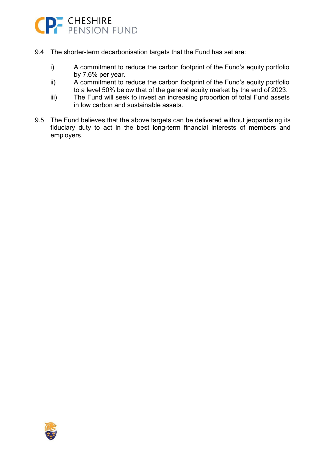

- 9.4 The shorter-term decarbonisation targets that the Fund has set are:
	- i) A commitment to reduce the carbon footprint of the Fund's equity portfolio by 7.6% per year.
	- ii) A commitment to reduce the carbon footprint of the Fund's equity portfolio to a level 50% below that of the general equity market by the end of 2023.
	- iii) The Fund will seek to invest an increasing proportion of total Fund assets in low carbon and sustainable assets.
- 9.5 The Fund believes that the above targets can be delivered without jeopardising its fiduciary duty to act in the best long-term financial interests of members and employers.

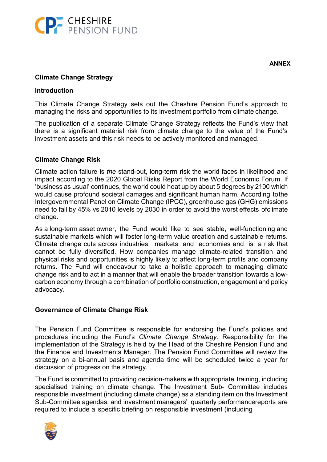

## **Climate Change Strategy**

#### **Introduction**

This Climate Change Strategy sets out the Cheshire Pension Fund's approach to managing the risks and opportunities to its investment portfolio from climate change.

The publication of a separate Climate Change Strategy reflects the Fund's view that there is a significant material risk from climate change to the value of the Fund's investment assets and this risk needs to be actively monitored and managed.

#### **Climate Change Risk**

Climate action failure is *the* stand-out, long-term risk the world faces in likelihood and impact according to the 2020 Global Risks Report from the World Economic Forum. If 'business as usual' continues, the world could heat up by about 5 degrees by 2100 which would cause profound societal damages and significant human harm. According tothe Intergovernmental Panel on Climate Change (IPCC), greenhouse gas (GHG) emissions need to fall by 45% vs 2010 levels by 2030 in order to avoid the worst effects ofclimate change.

As a long-term asset owner, the Fund would like to see stable, well-functioning and sustainable markets which will foster long-term value creation and sustainable returns. Climate change cuts across industries, markets and economies and is a risk that cannot be fully diversified. How companies manage climate-related transition and physical risks and opportunities is highly likely to affect long-term profits and company returns. The Fund will endeavour to take a holistic approach to managing climate change risk and to act in a manner that will enable the broader transition towards a lowcarbon economy through a combination of portfolio construction, engagement and policy advocacy.

## **Governance of Climate Change Risk**

The Pension Fund Committee is responsible for endorsing the Fund's policies and procedures including the Fund's *Climate Change Strategy.* Responsibility for the implementation of the Strategy is held by the Head of the Cheshire Pension Fund and the Finance and Investments Manager. The Pension Fund Committee will review the strategy on a bi-annual basis and agenda time will be scheduled twice a year for discussion of progress on the strategy.

The Fund is committed to providing decision-makers with appropriate training, including specialised training on climate change. The Investment Sub- Committee includes responsible investment (including climate change) as a standing item on the Investment Sub-Committee agendas, and investment managers' quarterly performancereports are required to include a specific briefing on responsible investment (including

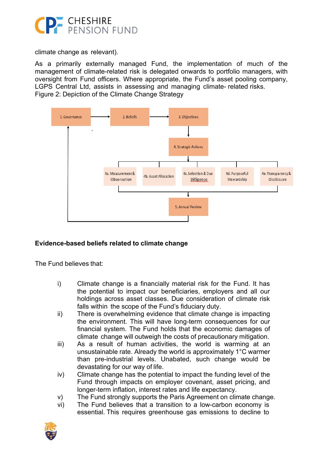

climate change as relevant).

As a primarily externally managed Fund, the implementation of much of the management of climate-related risk is delegated onwards to portfolio managers, with oversight from Fund officers. Where appropriate, the Fund's asset pooling company, LGPS Central Ltd, assists in assessing and managing climate- related risks. Figure 2: Depiction of the Climate Change Strategy



## **Evidence-based beliefs related to climate change**

The Fund believes that:

- i) Climate change is a financially material risk for the Fund. It has the potential to impact our beneficiaries, employers and all our holdings across asset classes. Due consideration of climate risk falls within the scope of the Fund's fiduciary duty.
- ii) There is overwhelming evidence that climate change is impacting the environment. This will have long-term consequences for our financial system. The Fund holds that the economic damages of climate change will outweigh the costs of precautionary mitigation.
- iii) As a result of human activities, the world is warming at an unsustainable rate. Already the world is approximately 1°C warmer than pre-industrial levels. Unabated, such change would be devastating for our way of life.
- iv) Climate change has the potential to impact the funding level of the Fund through impacts on employer covenant, asset pricing, and longer-term inflation, interest rates and life expectancy.
- v) The Fund strongly supports the Paris Agreement on climate change.
- vi) The Fund believes that a transition to a low-carbon economy is essential. This requires greenhouse gas emissions to decline to

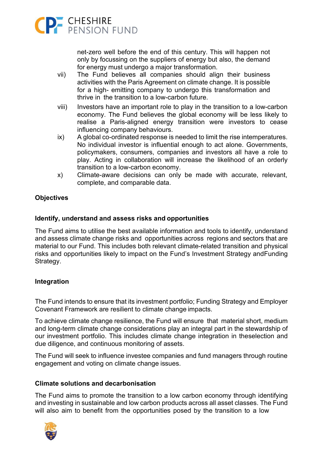

net-zero well before the end of this century. This will happen not only by focussing on the suppliers of energy but also, the demand for energy must undergo a major transformation.

- vii) The Fund believes all companies should align their business activities with the Paris Agreement on climate change. It is possible for a high- emitting company to undergo this transformation and thrive in the transition to a low-carbon future.
- viii) Investors have an important role to play in the transition to a low-carbon economy. The Fund believes the global economy will be less likely to realise a Paris-aligned energy transition were investors to cease influencing company behaviours.
- ix) A global co-ordinated response is needed to limit the rise intemperatures. No individual investor is influential enough to act alone. Governments, policymakers, consumers, companies and investors all have a role to play. Acting in collaboration will increase the likelihood of an orderly transition to a low-carbon economy.
- x) Climate-aware decisions can only be made with accurate, relevant, complete, and comparable data.

## **Objectives**

## **Identify, understand and assess risks and opportunities**

The Fund aims to utilise the best available information and tools to identify, understand and assess climate change risks and opportunities across regions and sectors that are material to our Fund. This includes both relevant climate-related transition and physical risks and opportunities likely to impact on the Fund's Investment Strategy andFunding Strategy.

## **Integration**

The Fund intends to ensure that its investment portfolio; Funding Strategy and Employer Covenant Framework are resilient to climate change impacts.

To achieve climate change resilience, the Fund will ensure that material short, medium and long-term climate change considerations play an integral part in the stewardship of our investment portfolio. This includes climate change integration in theselection and due diligence, and continuous monitoring of assets.

The Fund will seek to influence investee companies and fund managers through routine engagement and voting on climate change issues.

## **Climate solutions and decarbonisation**

The Fund aims to promote the transition to a low carbon economy through identifying and investing in sustainable and low carbon products across all asset classes. The Fund will also aim to benefit from the opportunities posed by the transition to a low

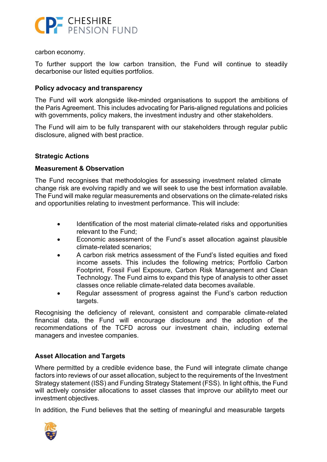

carbon economy.

To further support the low carbon transition, the Fund will continue to steadily decarbonise our listed equities portfolios.

## **Policy advocacy and transparency**

The Fund will work alongside like-minded organisations to support the ambitions of the Paris Agreement. This includes advocating for Paris-aligned regulations and policies with governments, policy makers, the investment industry and other stakeholders.

The Fund will aim to be fully transparent with our stakeholders through regular public disclosure, aligned with best practice.

## **Strategic Actions**

## **Measurement & Observation**

The Fund recognises that methodologies for assessing investment related climate change risk are evolving rapidly and we will seek to use the best information available. The Fund will make regular measurements and observations on the climate-related risks and opportunities relating to investment performance. This will include:

- Identification of the most material climate-related risks and opportunities relevant to the Fund;
- Economic assessment of the Fund's asset allocation against plausible climate-related scenarios;
- A carbon risk metrics assessment of the Fund's listed equities and fixed income assets. This includes the following metrics; Portfolio Carbon Footprint, Fossil Fuel Exposure, Carbon Risk Management and Clean Technology. The Fund aims to expand this type of analysis to other asset classes once reliable climate-related data becomes available.
- Regular assessment of progress against the Fund's carbon reduction targets.

Recognising the deficiency of relevant, consistent and comparable climate-related financial data, the Fund will encourage disclosure and the adoption of the recommendations of the TCFD across our investment chain, including external managers and investee companies.

## **Asset Allocation and Targets**

Where permitted by a credible evidence base, the Fund will integrate climate change factors into reviews of our asset allocation, subject to the requirements of the Investment Strategy statement (ISS) and Funding Strategy Statement (FSS). In light ofthis, the Fund will actively consider allocations to asset classes that improve our abilityto meet our investment objectives.

In addition, the Fund believes that the setting of meaningful and measurable targets

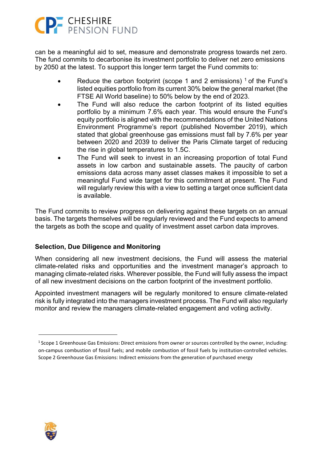# CP CHESHIRE

can be a meaningful aid to set, measure and demonstrate progress towards net zero. The fund commits to decarbonise its investment portfolio to deliver net zero emissions by 2050 at the latest. To support this longer term target the Fund commits to:

- Reduce the carbon footprint (scope 1 and 2 emissions)  $\frac{1}{1}$  of the Fund's listed equities portfolio from its current 30% below the general market (the FTSE All World baseline) to 50% below by the end of 2023.
- The Fund will also reduce the carbon footprint of its listed equities portfolio by a minimum 7.6% each year. This would ensure the Fund's equity portfolio is aligned with the recommendations of the United Nations Environment Programme's report (published November 2019), which stated that global greenhouse gas emissions must fall by 7.6% per year between 2020 and 2039 to deliver the Paris Climate target of reducing the rise in global temperatures to 1.5C.
- The Fund will seek to invest in an increasing proportion of total Fund assets in low carbon and sustainable assets. The paucity of carbon emissions data across many asset classes makes it impossible to set a meaningful Fund wide target for this commitment at present. The Fund will regularly review this with a view to setting a target once sufficient data is available.

The Fund commits to review progress on delivering against these targets on an annual basis. The targets themselves will be regularly reviewed and the Fund expects to amend the targets as both the scope and quality of investment asset carbon data improves.

## **Selection, Due Diligence and Monitoring**

When considering all new investment decisions, the Fund will assess the material climate-related risks and opportunities and the investment manager's approach to managing climate-related risks. Wherever possible, the Fund will fully assess the impact of all new investment decisions on the carbon footprint of the investment portfolio.

Appointed investment managers will be regularly monitored to ensure climate-related risk is fully integrated into the managers investment process. The Fund will also regularly monitor and review the managers climate-related engagement and voting activity.



 $1$  Scope 1 Greenhouse Gas Emissions: Direct emissions from owner or sources controlled by the owner, including: on-campus combustion of fossil fuels; and mobile combustion of fossil fuels by institution-controlled vehicles. Scope 2 Greenhouse Gas Emissions: Indirect emissions from the generation of purchased energy